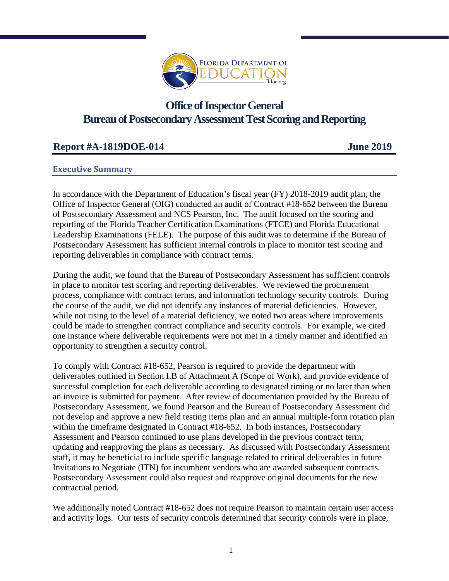

# **Office of Inspector General Bureau of Postsecondary Assessment Test Scoring and Reporting**

# **Report #A-1819DOE-014 June 2019**

#### **Executive Summary**

In accordance with the Department of Education's fiscal year (FY) 2018-2019 audit plan, the Office of Inspector General (OIG) conducted an audit of Contract #18-652 between the Bureau of Postsecondary Assessment and NCS Pearson, Inc. The audit focused on the scoring and reporting of the Florida Teacher Certification Examinations (FTCE) and Florida Educational Leadership Examinations (FELE). The purpose of this audit was to determine if the Bureau of Postsecondary Assessment has sufficient internal controls in place to monitor test scoring and reporting deliverables in compliance with contract terms.

During the audit, we found that the Bureau of Postsecondary Assessment has sufficient controls in place to monitor test scoring and reporting deliverables. We reviewed the procurement process, compliance with contract terms, and information technology security controls. During the course of the audit, we did not identify any instances of material deficiencies. However, while not rising to the level of a material deficiency, we noted two areas where improvements could be made to strengthen contract compliance and security controls. For example, we cited one instance where deliverable requirements were not met in a timely manner and identified an opportunity to strengthen a security control.

To comply with Contract #18-652, Pearson is required to provide the department with deliverables outlined in Section I.B of Attachment A (Scope of Work), and provide evidence of successful completion for each deliverable according to designated timing or no later than when an invoice is submitted for payment. After review of documentation provided by the Bureau of Postsecondary Assessment, we found Pearson and the Bureau of Postsecondary Assessment did not develop and approve a new field testing items plan and an annual multiple-form rotation plan within the timeframe designated in Contract #18-652. In both instances, Postsecondary Assessment and Pearson continued to use plans developed in the previous contract term, updating and reapproving the plans as necessary. As discussed with Postsecondary Assessment staff, it may be beneficial to include specific language related to critical deliverables in future Invitations to Negotiate (ITN) for incumbent vendors who are awarded subsequent contracts. Postsecondary Assessment could also request and reapprove original documents for the new contractual period.

We additionally noted Contract #18-652 does not require Pearson to maintain certain user access and activity logs. Our tests of security controls determined that security controls were in place,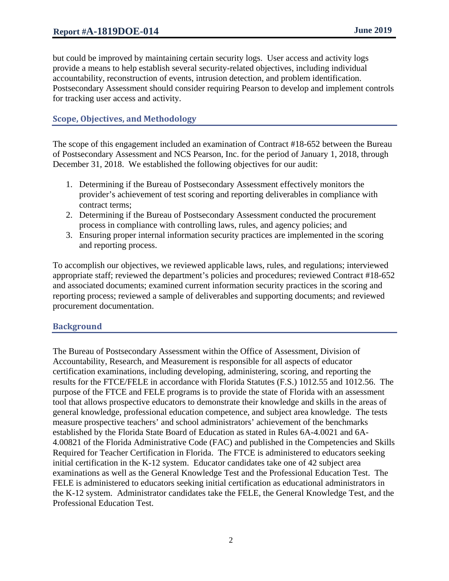but could be improved by maintaining certain security logs. User access and activity logs provide a means to help establish several security-related objectives, including individual accountability, reconstruction of events, intrusion detection, and problem identification. Postsecondary Assessment should consider requiring Pearson to develop and implement controls for tracking user access and activity.

#### **Scope, Objectives, and Methodology**

The scope of this engagement included an examination of Contract #18-652 between the Bureau of Postsecondary Assessment and NCS Pearson, Inc. for the period of January 1, 2018, through December 31, 2018. We established the following objectives for our audit:

- 1. Determining if the Bureau of Postsecondary Assessment effectively monitors the provider's achievement of test scoring and reporting deliverables in compliance with contract terms;
- 2. Determining if the Bureau of Postsecondary Assessment conducted the procurement process in compliance with controlling laws, rules, and agency policies; and
- 3. Ensuring proper internal information security practices are implemented in the scoring and reporting process.

To accomplish our objectives, we reviewed applicable laws, rules, and regulations; interviewed appropriate staff; reviewed the department's policies and procedures; reviewed Contract #18-652 and associated documents; examined current information security practices in the scoring and reporting process; reviewed a sample of deliverables and supporting documents; and reviewed procurement documentation.

## **Background**

The Bureau of Postsecondary Assessment within the Office of Assessment, Division of Accountability, Research, and Measurement is responsible for all aspects of educator certification examinations, including developing, administering, scoring, and reporting the results for the FTCE/FELE in accordance with Florida Statutes (F.S.) 1012.55 and 1012.56. The purpose of the FTCE and FELE programs is to provide the state of Florida with an assessment tool that allows prospective educators to demonstrate their knowledge and skills in the areas of general knowledge, professional education competence, and subject area knowledge. The tests measure prospective teachers' and school administrators' achievement of the benchmarks established by the Florida State Board of Education as stated in Rules 6A-4.0021 and 6A-4.00821 of the Florida Administrative Code (FAC) and published in the Competencies and Skills Required for Teacher Certification in Florida. The FTCE is administered to educators seeking initial certification in the K-12 system. Educator candidates take one of 42 subject area examinations as well as the General Knowledge Test and the Professional Education Test. The FELE is administered to educators seeking initial certification as educational administrators in the K-12 system. Administrator candidates take the FELE, the General Knowledge Test, and the Professional Education Test.